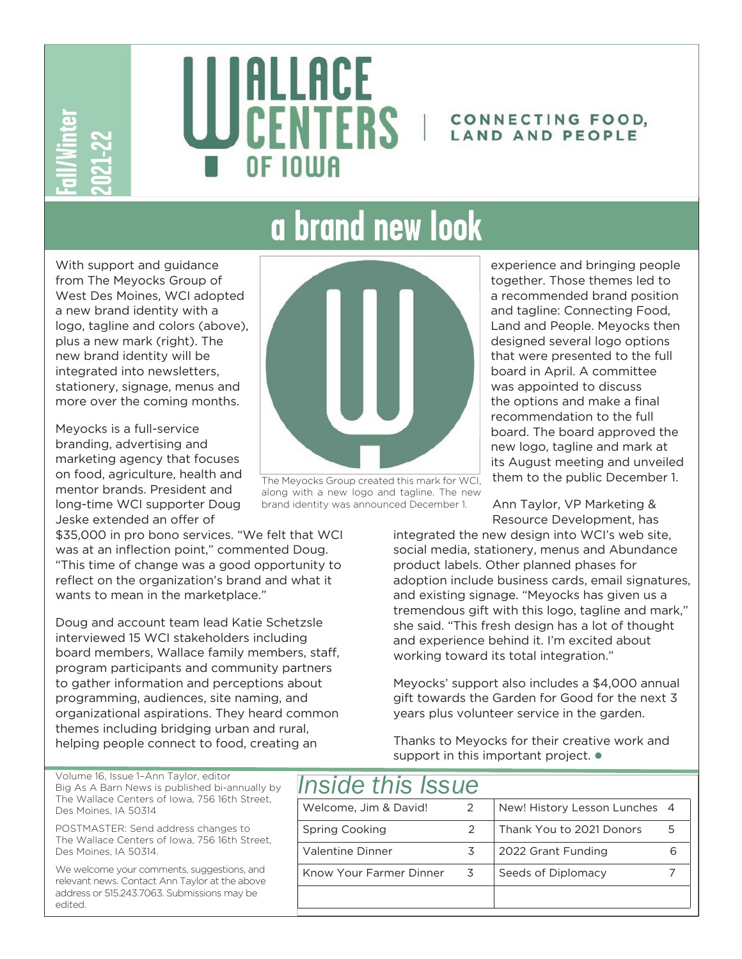

# ALLACE CENTERS | CONNECTING FOOD, OF IOIIIA

## LAND AND PEOPLE

## **a brand new look**

**Edition:** With from West a new logo, new Heg static more Meyo branch in the static more Meyo branch of ment long-leske f "This reflect want". Doug interval progrimm help in Wolum Big As Des Meyo POSThe We we addres edited With support and guidance from The Meyocks Group of West Des Moines, WCI adopted a new brand identity with a logo, tagline and colors (above), plus a new mark (right). The new brand identity will be integrated into newsletters, stationery, signage, menus and more over the coming months.

Meyocks is a full-service branding, advertising and marketing agency that focuses on food, agriculture, health and mentor brands. President and long-time WCI supporter Doug Jeske extended an offer of

\$35,000 in pro bono services. "We felt that WCI was at an inflection point," commented Doug. "This time of change was a good opportunity to reflect on the organization's brand and what it wants to mean in the marketplace."

Doug and account team lead Katie Schetzsle interviewed 15 WCI stakeholders including board members, Wallace family members, staff, program participants and community partners to gather information and perceptions about programming, audiences, site naming, and organizational aspirations. They heard common themes including bridging urban and rural, helping people connect to food, creating an



The Meyocks Group created this mark for WCI, along with a new logo and tagline. The new brand identity was announced December 1.

experience and bringing people together. Those themes led to a recommended brand position and tagline: Connecting Food, Land and People. Meyocks then designed several logo options that were presented to the full board in April. A committee was appointed to discuss the options and make a final recommendation to the full board. The board approved the new logo, tagline and mark at its August meeting and unveiled them to the public December 1.

Ann Taylor, VP Marketing & Resource Development, has

integrated the new design into WCI's web site, social media, stationery, menus and Abundance product labels. Other planned phases for adoption include business cards, email signatures, and existing signage. "Meyocks has given us a tremendous gift with this logo, tagline and mark," she said. "This fresh design has a lot of thought and experience behind it. I'm excited about working toward its total integration."

Meyocks' support also includes a \$4,000 annual gift towards the Garden for Good for the next 3 years plus volunteer service in the garden.

Thanks to Meyocks for their creative work and support in this important project.  $\bullet$ 

| <i><b>Inside this Issue</b></i> |               |                               |  |
|---------------------------------|---------------|-------------------------------|--|
| Welcome, Jim & David!           | $\mathcal{P}$ | New! History Lesson Lunches 4 |  |
| Spring Cooking                  | $\mathcal{P}$ | Thank You to 2021 Donors      |  |
| Valentine Dinner                | 3             | 2022 Grant Funding            |  |
| Know Your Farmer Dinner         | 3             | Seeds of Diplomacy            |  |
|                                 |               |                               |  |

Volume 16, Issue 1–Ann Taylor, editor Big As A Barn News is published bi-annually by The Wallace Centers of Iowa, 756 16th Street, Des Moines, IA 50314

POSTMASTER: Send address changes to The Wallace Centers of Iowa, 756 16th Street, Des Moines, IA 50314.

We welcome your comments, suggestions, and relevant news. Contact Ann Taylor at the above address or 515.243.7063. Submissions may be hetibe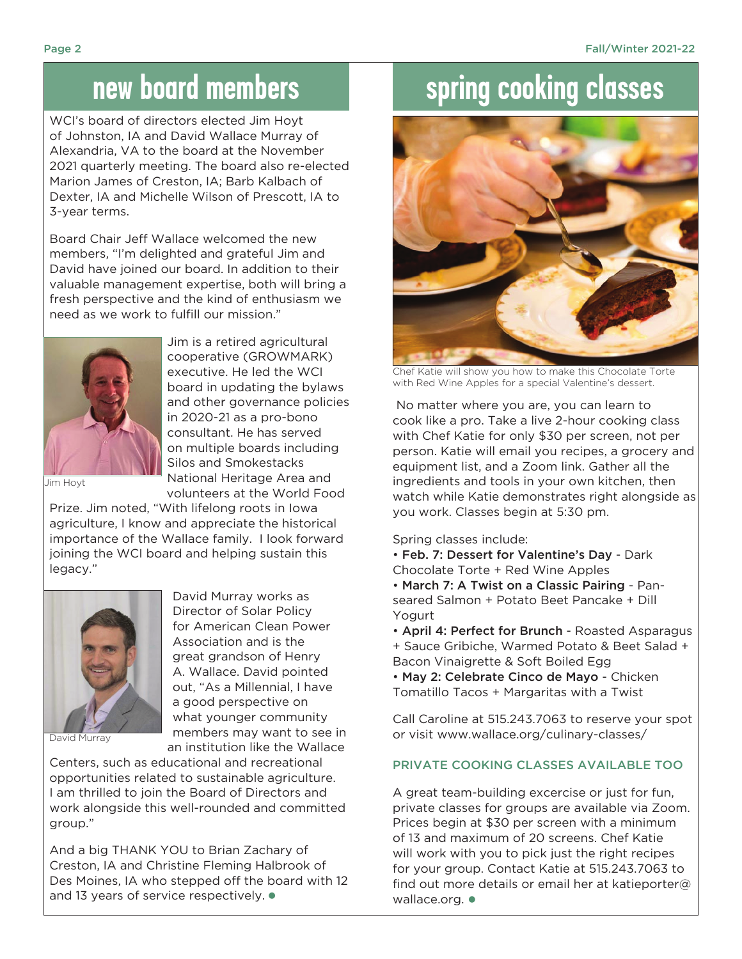#### **new board members**

WCI's board of directors elected Jim Hoyt of Johnston, IA and David Wallace Murray of Alexandria, VA to the board at the November 2021 quarterly meeting. The board also re-elected Marion James of Creston, IA; Barb Kalbach of Dexter, IA and Michelle Wilson of Prescott, IA to 3-year terms.

Board Chair Jeff Wallace welcomed the new members, "I'm delighted and grateful Jim and David have joined our board. In addition to their valuable management expertise, both will bring a fresh perspective and the kind of enthusiasm we need as we work to fulfill our mission."



Jim is a retired agricultural cooperative (GROWMARK) executive. He led the WCI board in updating the bylaws and other governance policies in 2020-21 as a pro-bono consultant. He has served on multiple boards including Silos and Smokestacks National Heritage Area and volunteers at the World Food

David Murray works as Director of Solar Policy for American Clean Power Association and is the great grandson of Henry A. Wallace. David pointed out, "As a Millennial, I have a good perspective on what younger community

Jim Hoyt

Prize. Jim noted, "With lifelong roots in Iowa agriculture, I know and appreciate the historical importance of the Wallace family. I look forward joining the WCI board and helping sustain this legacy."



David Murray

members may want to see in an institution like the Wallace Centers, such as educational and recreational opportunities related to sustainable agriculture. I am thrilled to join the Board of Directors and work alongside this well-rounded and committed group."

And a big THANK YOU to Brian Zachary of Creston, IA and Christine Fleming Halbrook of Des Moines, IA who stepped off the board with 12 and 13 years of service respectively.  $\bullet$ 

## **spring cooking classes**



Chef Katie will show you how to make this Chocolate Torte with Red Wine Apples for a special Valentine's dessert.

 No matter where you are, you can learn to cook like a pro. Take a live 2-hour cooking class with Chef Katie for only \$30 per screen, not per person. Katie will email you recipes, a grocery and equipment list, and a Zoom link. Gather all the ingredients and tools in your own kitchen, then watch while Katie demonstrates right alongside as you work. Classes begin at 5:30 pm.

Spring classes include:

- Feb. 7: Dessert for Valentine's Day Dark Chocolate Torte + Red Wine Apples
- March 7: A Twist on a Classic Pairing Panseared Salmon + Potato Beet Pancake + Dill Yogurt
- April 4: Perfect for Brunch Roasted Asparagus + Sauce Gribiche, Warmed Potato & Beet Salad + Bacon Vinaigrette & Soft Boiled Egg

• May 2: Celebrate Cinco de Mayo - Chicken Tomatillo Tacos + Margaritas with a Twist

Call Caroline at 515.243.7063 to reserve your spot or visit www.wallace.org/culinary-classes/

#### Private Cooking Classes Available Too

A great team-building excercise or just for fun, private classes for groups are available via Zoom. Prices begin at \$30 per screen with a minimum of 13 and maximum of 20 screens. Chef Katie will work with you to pick just the right recipes for your group. Contact Katie at 515.243.7063 to find out more details or email her at katieporter@ wallace.org.  $\bullet$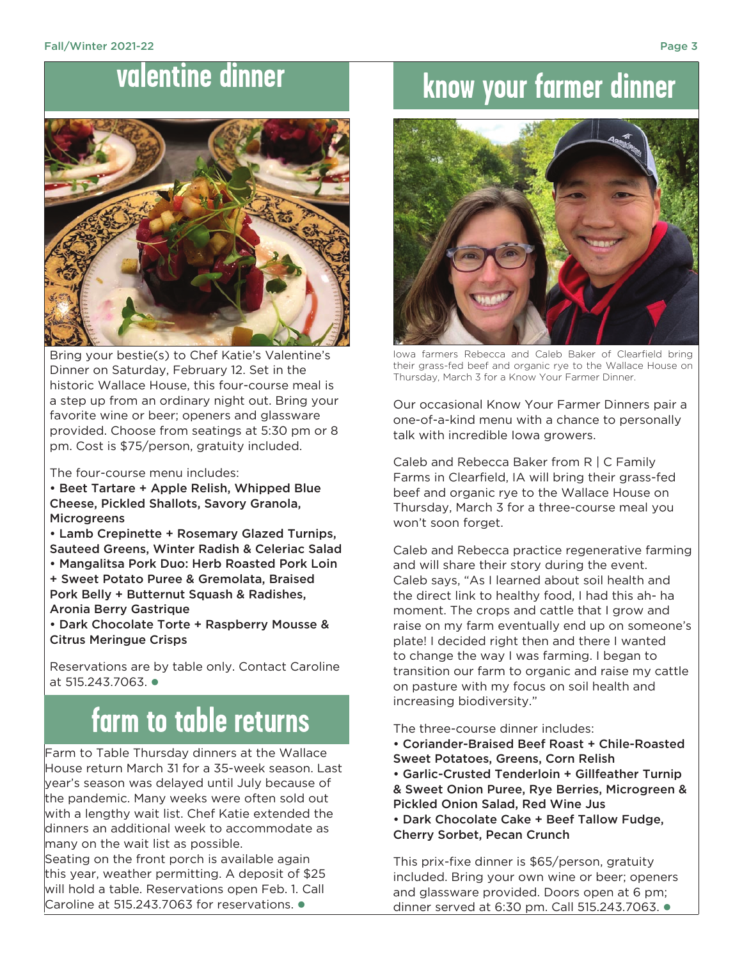#### **valentine dinner**



Bring your bestie(s) to Chef Katie's Valentine's Dinner on Saturday, February 12. Set in the historic Wallace House, this four-course meal is a step up from an ordinary night out. Bring your favorite wine or beer; openers and glassware provided. Choose from seatings at 5:30 pm or 8 pm. Cost is \$75/person, gratuity included.

The four-course menu includes:

• Beet Tartare + Apple Relish, Whipped Blue Cheese, Pickled Shallots, Savory Granola, **Microgreens** 

• Lamb Crepinette + Rosemary Glazed Turnips, Sauteed Greens, Winter Radish & Celeriac Salad • Mangalitsa Pork Duo: Herb Roasted Pork Loin

+ Sweet Potato Puree & Gremolata, Braised Pork Belly + Butternut Squash & Radishes, Aronia Berry Gastrique

• Dark Chocolate Torte + Raspberry Mousse & Citrus Meringue Crisps

Reservations are by table only. Contact Caroline at  $515.243.7063$ .

## **farm to table returns**

Farm to Table Thursday dinners at the Wallace House return March 31 for a 35-week season. Last year's season was delayed until July because of the pandemic. Many weeks were often sold out with a lengthy wait list. Chef Katie extended the dinners an additional week to accommodate as many on the wait list as possible.

Seating on the front porch is available again this year, weather permitting. A deposit of \$25 will hold a table. Reservations open Feb. 1. Call Caroline at 515.243.7063 for reservations.  $\bullet$ 

## **know your farmer dinner**



Iowa farmers Rebecca and Caleb Baker of Clearfield bring their grass-fed beef and organic rye to the Wallace House on Thursday, March 3 for a Know Your Farmer Dinner.

Our occasional Know Your Farmer Dinners pair a one-of-a-kind menu with a chance to personally talk with incredible Iowa growers.

Caleb and Rebecca Baker from R | C Family Farms in Clearfield, IA will bring their grass-fed beef and organic rye to the Wallace House on Thursday, March 3 for a three-course meal you won't soon forget.

Caleb and Rebecca practice regenerative farming and will share their story during the event. Caleb says, "As I learned about soil health and the direct link to healthy food, I had this ah- ha moment. The crops and cattle that I grow and raise on my farm eventually end up on someone's plate! I decided right then and there I wanted to change the way I was farming. I began to transition our farm to organic and raise my cattle on pasture with my focus on soil health and increasing biodiversity."

The three-course dinner includes:

- Coriander-Braised Beef Roast + Chile-Roasted
- Sweet Potatoes, Greens, Corn Relish
- Garlic-Crusted Tenderloin + Gillfeather Turnip & Sweet Onion Puree, Rye Berries, Microgreen & Pickled Onion Salad, Red Wine Jus
- Dark Chocolate Cake + Beef Tallow Fudge, Cherry Sorbet, Pecan Crunch

This prix-fixe dinner is \$65/person, gratuity included. Bring your own wine or beer; openers and glassware provided. Doors open at 6 pm; dinner served at 6:30 pm. Call 515.243.7063. l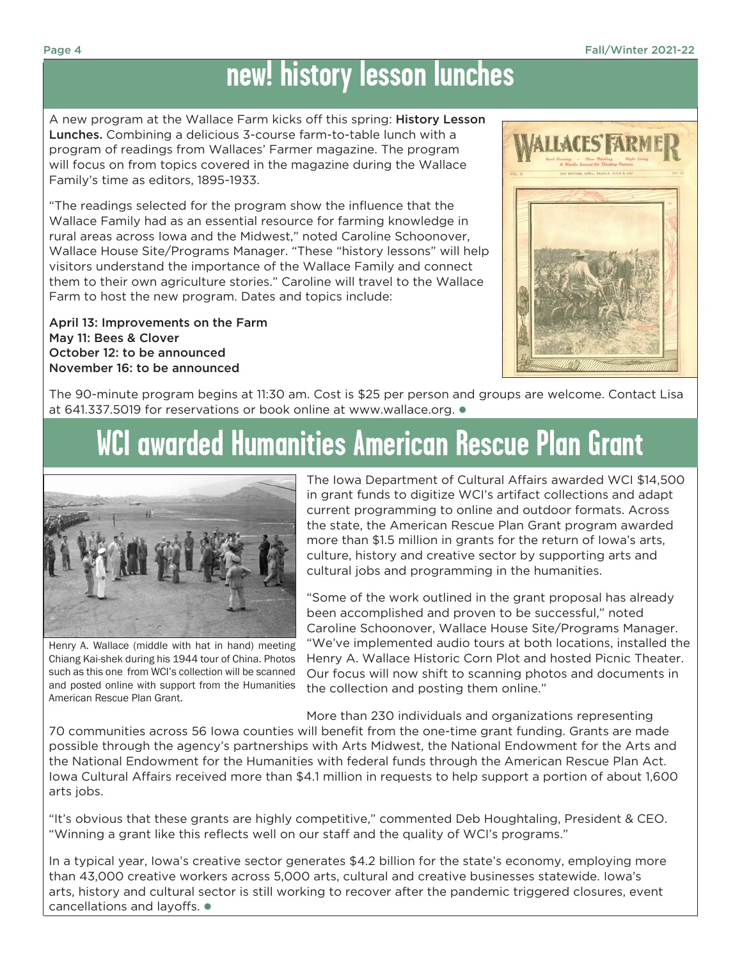## **new! history lesson lunches**

A new program at the Wallace Farm kicks off this spring: History Lesson Lunches. Combining a delicious 3-course farm-to-table lunch with a program of readings from Wallaces' Farmer magazine. The program will focus on from topics covered in the magazine during the Wallace Family's time as editors, 1895-1933.

"The readings selected for the program show the influence that the Wallace Family had as an essential resource for farming knowledge in rural areas across Iowa and the Midwest," noted Caroline Schoonover, Wallace House Site/Programs Manager. "These "history lessons" will help visitors understand the importance of the Wallace Family and connect them to their own agriculture stories." Caroline will travel to the Wallace Farm to host the new program. Dates and topics include:

April 13: Improvements on the Farm May 11: Bees & Clover October 12: to be announced November 16: to be announced



The 90-minute program begins at 11:30 am. Cost is \$25 per person and groups are welcome. Contact Lisa at 641.337.5019 for reservations or book online at www.wallace.org.  $\bullet$ 

## **WCI awarded Humanities American Rescue Plan Grant**



Henry A. Wallace (middle with hat in hand) meeting Chiang Kai-shek during his 1944 tour of China. Photos such as this one from WCI's collection will be scanned and posted online with support from the Humanities American Rescue Plan Grant.

The Iowa Department of Cultural Affairs awarded WCI \$14,500 in grant funds to digitize WCI's artifact collections and adapt current programming to online and outdoor formats. Across the state, the American Rescue Plan Grant program awarded more than \$1.5 million in grants for the return of Iowa's arts, culture, history and creative sector by supporting arts and cultural jobs and programming in the humanities.

"Some of the work outlined in the grant proposal has already been accomplished and proven to be successful," noted Caroline Schoonover, Wallace House Site/Programs Manager. "We've implemented audio tours at both locations, installed the Henry A. Wallace Historic Corn Plot and hosted Picnic Theater. Our focus will now shift to scanning photos and documents in the collection and posting them online."

More than 230 individuals and organizations representing

70 communities across 56 Iowa counties will benefit from the one-time grant funding. Grants are made possible through the agency's partnerships with Arts Midwest, the National Endowment for the Arts and the National Endowment for the Humanities with federal funds through the American Rescue Plan Act. Iowa Cultural Affairs received more than \$4.1 million in requests to help support a portion of about 1,600 arts jobs.

"It's obvious that these grants are highly competitive," commented Deb Houghtaling, President & CEO. "Winning a grant like this reflects well on our staff and the quality of WCI's programs."

In a typical year, Iowa's creative sector generates \$4.2 billion for the state's economy, employing more than 43,000 creative workers across 5,000 arts, cultural and creative businesses statewide. Iowa's arts, history and cultural sector is still working to recover after the pandemic triggered closures, event cancellations and layoffs.  $\bullet$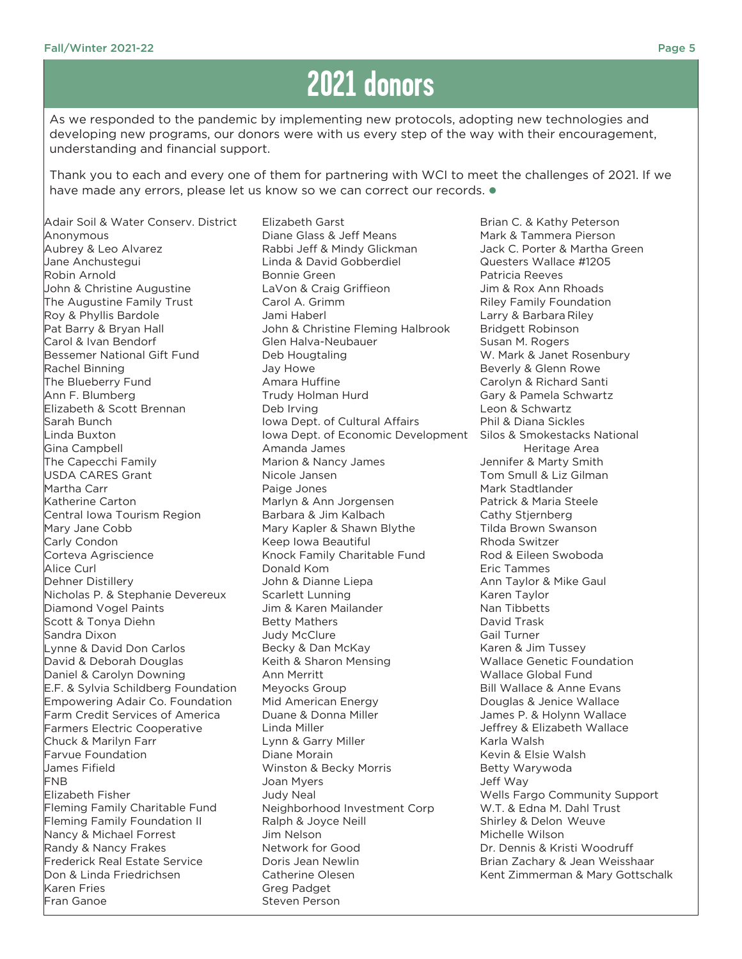## **2021 donors**

As we responded to the pandemic by implementing new protocols, adopting new technologies and developing new programs, our donors were with us every step of the way with their encouragement, understanding and financial support.

Thank you to each and every one of them for partnering with WCI to meet the challenges of 2021. If we have made any errors, please let us know so we can correct our records.  $\bullet$ 

Adair Soil & Water Conserv. District Anonymous Aubrey & Leo Alvarez Jane Anchustegui Robin Arnold John & Christine Augustine The Augustine Family Trust Roy & Phyllis Bardole Pat Barry & Bryan Hall Carol & Ivan Bendorf Bessemer National Gift Fund Rachel Binning The Blueberry Fund Ann F. Blumberg Elizabeth & Scott Brennan Sarah Bunch Linda Buxton Gina Campbell The Capecchi Family USDA CARES Grant Martha Carr Katherine Carton Central Iowa Tourism Region Mary Jane Cobb Carly Condon Corteva Agriscience Alice Curl Dehner Distillery Nicholas P. & Stephanie Devereux Diamond Vogel Paints Scott & Tonya Diehn Sandra Dixon Lynne & David Don Carlos David & Deborah Douglas Daniel & Carolyn Downing E.F. & Sylvia Schildberg Foundation Empowering Adair Co. Foundation Farm Credit Services of America Farmers Electric Cooperative Chuck & Marilyn Farr Farvue Foundation James Fifield FNB Elizabeth Fisher Fleming Family Charitable Fund Fleming Family Foundation II Nancy & Michael Forrest Randy & Nancy Frakes Frederick Real Estate Service Don & Linda Friedrichsen Karen Fries Fran Ganoe

Elizabeth Garst Diane Glass & Jeff Means Rabbi Jeff & Mindy Glickman Linda & David Gobberdiel Bonnie Green LaVon & Craig Griffieon Carol A. Grimm Jami Haberl John & Christine Fleming Halbrook Glen Halva-Neubauer Deb Hougtaling Jay Howe Amara Huffine Trudy Holman Hurd Deb Irving Iowa Dept. of Cultural Affairs Iowa Dept. of Economic Development Amanda James Marion & Nancy James Nicole Jansen Paige Jones Marlyn & Ann Jorgensen Barbara & Jim Kalbach Mary Kapler & Shawn Blythe Keep Iowa Beautiful Knock Family Charitable Fund Donald Kom John & Dianne Liepa Scarlett Lunning Jim & Karen Mailander Betty Mathers Judy McClure Becky & Dan McKay Keith & Sharon Mensing Ann Merritt Meyocks Group Mid American Energy Duane & Donna Miller Linda Miller Lynn & Garry Miller Diane Morain Winston & Becky Morris Joan Myers Judy Neal Neighborhood Investment Corp Ralph & Joyce Neill Jim Nelson Network for Good Doris Jean Newlin Catherine Olesen Greg Padget Steven Person

Brian C. & Kathy Peterson Mark & Tammera Pierson Jack C. Porter & Martha Green Questers Wallace #1205 Patricia Reeves Jim & Rox Ann Rhoads Riley Family Foundation Larry & Barbara Riley Bridgett Robinson Susan M. Rogers W. Mark & Janet Rosenbury Beverly & Glenn Rowe Carolyn & Richard Santi Gary & Pamela Schwartz Leon & Schwartz Phil & Diana Sickles Silos & Smokestacks National Heritage Area Jennifer & Marty Smith Tom Smull & Liz Gilman Mark Stadtlander Patrick & Maria Steele Cathy Stjernberg Tilda Brown Swanson Rhoda Switzer Rod & Eileen Swoboda Eric Tammes Ann Taylor & Mike Gaul Karen Taylor Nan Tibbetts David Trask Gail Turner Karen & Jim Tussey Wallace Genetic Foundation Wallace Global Fund Bill Wallace & Anne Evans Douglas & Jenice Wallace James P. & Holynn Wallace Jeffrey & Elizabeth Wallace Karla Walsh Kevin & Elsie Walsh Betty Warywoda Jeff Way Wells Fargo Community Support W.T. & Edna M. Dahl Trust Shirley & Delon Weuve Michelle Wilson Dr. Dennis & Kristi Woodruff Brian Zachary & Jean Weisshaar Kent Zimmerman & Mary Gottschalk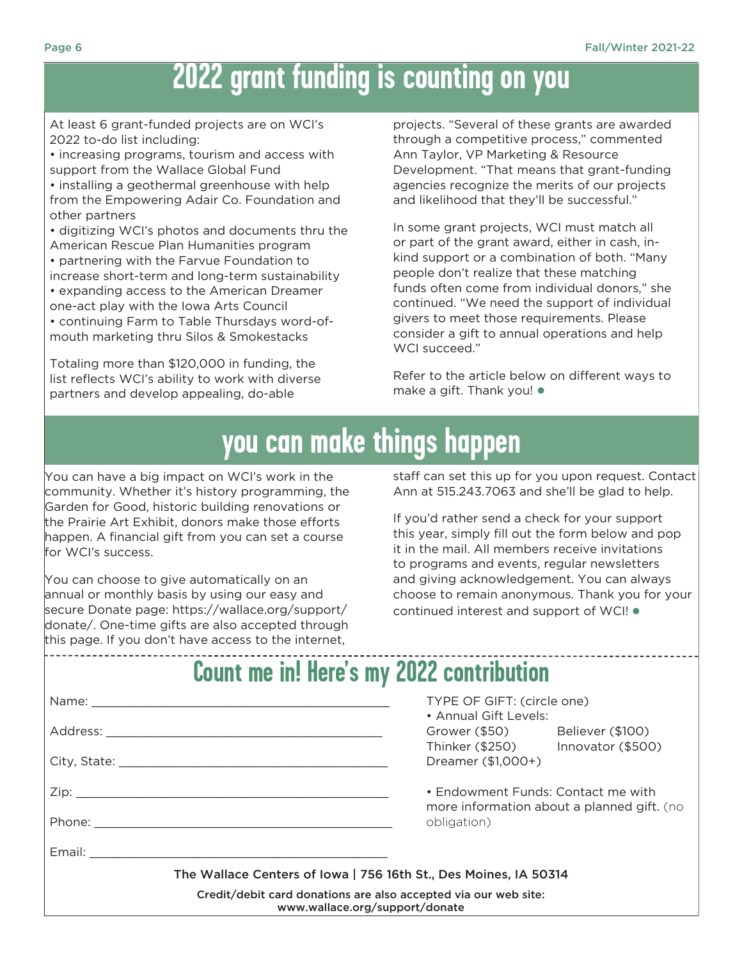### **2022 grant funding is counting on you**

At least 6 grant-funded projects are on WCI's 2022 to-do list including:

• increasing programs, tourism and access with support from the Wallace Global Fund

• installing a geothermal greenhouse with help from the Empowering Adair Co. Foundation and other partners

• digitizing WCI's photos and documents thru the American Rescue Plan Humanities program • partnering with the Farvue Foundation to increase short-term and long-term sustainability • expanding access to the American Dreamer one-act play with the Iowa Arts Council • continuing Farm to Table Thursdays word-ofmouth marketing thru Silos & Smokestacks

Totaling more than \$120,000 in funding, the list reflects WCI's ability to work with diverse partners and develop appealing, do-able

projects. "Several of these grants are awarded through a competitive process," commented Ann Taylor, VP Marketing & Resource Development. "That means that grant-funding agencies recognize the merits of our projects and likelihood that they'll be successful."

In some grant projects, WCI must match all or part of the grant award, either in cash, inkind support or a combination of both. "Many people don't realize that these matching funds often come from individual donors," she continued. "We need the support of individual givers to meet those requirements. Please consider a gift to annual operations and help WCI succeed."

Refer to the article below on different ways to make a gift. Thank you!  $\bullet$ 

## **you can make things happen**

You can have a big impact on WCI's work in the community. Whether it's history programming, the Garden for Good, historic building renovations or the Prairie Art Exhibit, donors make those efforts happen. A financial gift from you can set a course for WCI's success.

You can choose to give automatically on an annual or monthly basis by using our easy and secure Donate page: https://wallace.org/support/ donate/. One-time gifts are also accepted through this page. If you don't have access to the internet,

staff can set this up for you upon request. Contact Ann at 515.243.7063 and she'll be glad to help.

If you'd rather send a check for your support this year, simply fill out the form below and pop it in the mail. All members receive invitations to programs and events, regular newsletters and giving acknowledgement. You can always choose to remain anonymous. Thank you for your continued interest and support of WCI!  $\bullet$ 

#### **Count me in! Here's my 2022 contribution**

|                                                                                                   | TYPE OF GIFT: (circle one)<br>• Annual Gift Levels:                                             |  |  |  |
|---------------------------------------------------------------------------------------------------|-------------------------------------------------------------------------------------------------|--|--|--|
|                                                                                                   | Grower (\$50) Believer (\$100)<br>Thinker (\$250) lnnovator (\$500)<br>Dreamer (\$1,000+)       |  |  |  |
|                                                                                                   |                                                                                                 |  |  |  |
|                                                                                                   | • Endowment Funds: Contact me with<br>more information about a planned gift. (no<br>obligation) |  |  |  |
|                                                                                                   |                                                                                                 |  |  |  |
|                                                                                                   |                                                                                                 |  |  |  |
| The Wallace Centers of Iowa   756 16th St., Des Moines, IA 50314                                  |                                                                                                 |  |  |  |
| Credit/debit card donations are also accepted via our web site:<br>www.wallace.org/support/donate |                                                                                                 |  |  |  |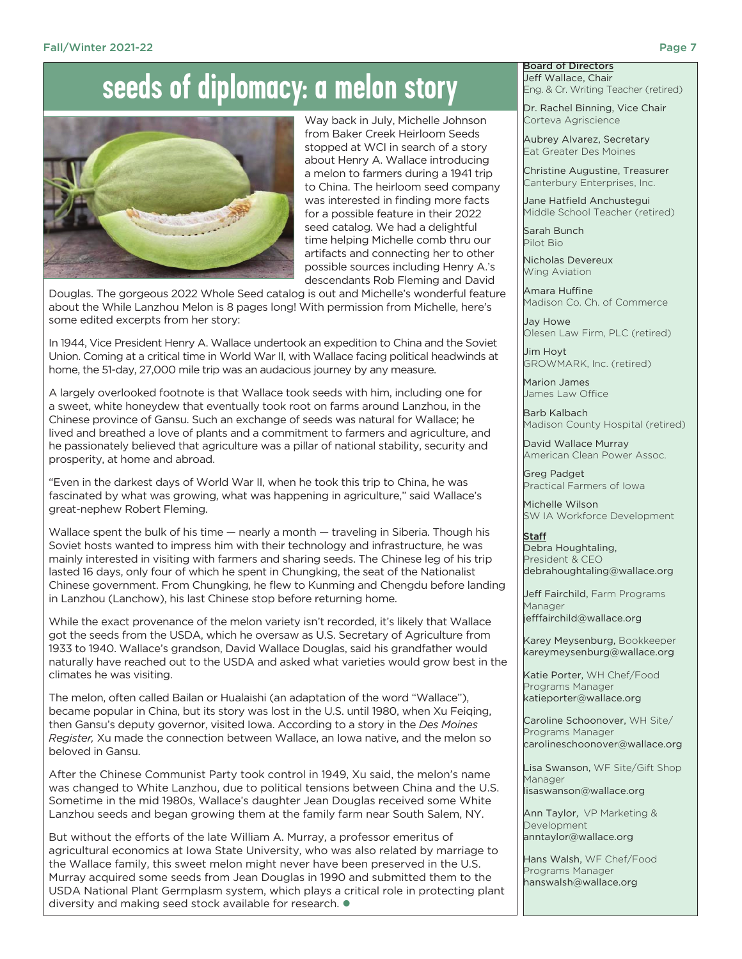### **seeds of diplomacy: a melon story**



Way back in July, Michelle Johnson from Baker Creek Heirloom Seeds stopped at WCI in search of a story about Henry A. Wallace introducing a melon to farmers during a 1941 trip to China. The heirloom seed company was interested in finding more facts for a possible feature in their 2022 seed catalog. We had a delightful time helping Michelle comb thru our artifacts and connecting her to other possible sources including Henry A.'s descendants Rob Fleming and David

Douglas. The gorgeous 2022 Whole Seed catalog is out and Michelle's wonderful feature about the While Lanzhou Melon is 8 pages long! With permission from Michelle, here's some edited excerpts from her story:

In 1944, Vice President Henry A. Wallace undertook an expedition to China and the Soviet Union. Coming at a critical time in World War II, with Wallace facing political headwinds at home, the 51-day, 27,000 mile trip was an audacious journey by any measure.

A largely overlooked footnote is that Wallace took seeds with him, including one for a sweet, white honeydew that eventually took root on farms around Lanzhou, in the Chinese province of Gansu. Such an exchange of seeds was natural for Wallace; he lived and breathed a love of plants and a commitment to farmers and agriculture, and he passionately believed that agriculture was a pillar of national stability, security and prosperity, at home and abroad.

"Even in the darkest days of World War II, when he took this trip to China, he was fascinated by what was growing, what was happening in agriculture," said Wallace's great-nephew Robert Fleming.

Wallace spent the bulk of his time — nearly a month — traveling in Siberia. Though his Soviet hosts wanted to impress him with their technology and infrastructure, he was mainly interested in visiting with farmers and sharing seeds. The Chinese leg of his trip lasted 16 days, only four of which he spent in Chungking, the seat of the Nationalist Chinese government. From Chungking, he flew to Kunming and Chengdu before landing in Lanzhou (Lanchow), his last Chinese stop before returning home.

While the exact provenance of the melon variety isn't recorded, it's likely that Wallace got the seeds from the USDA, which he oversaw as U.S. Secretary of Agriculture from 1933 to 1940. Wallace's grandson, David Wallace Douglas, said his grandfather would naturally have reached out to the USDA and asked what varieties would grow best in the climates he was visiting.

The melon, often called Bailan or Hualaishi (an adaptation of the word "Wallace"), became popular in China, but its story was lost in the U.S. until 1980, when Xu Feiqing, then Gansu's deputy governor, visited Iowa. According to a story in the *Des Moines Register,* Xu made the connection between Wallace, an Iowa native, and the melon so beloved in Gansu.

After the Chinese Communist Party took control in 1949, Xu said, the melon's name was changed to White Lanzhou, due to political tensions between China and the U.S. Sometime in the mid 1980s, Wallace's daughter Jean Douglas received some White Lanzhou seeds and began growing them at the family farm near South Salem, NY.

But without the efforts of the late William A. Murray, a professor emeritus of agricultural economics at Iowa State University, who was also related by marriage to the Wallace family, this sweet melon might never have been preserved in the U.S. Murray acquired some seeds from Jean Douglas in 1990 and submitted them to the USDA National Plant Germplasm system, which plays a critical role in protecting plant diversity and making seed stock available for research.  $\bullet$ 

#### Board of Directors Jeff Wallace, Chair Eng. & Cr. Writing Teacher (retired)

Dr. Rachel Binning, Vice Chair Corteva Agriscience

Aubrey Alvarez, Secretary Eat Greater Des Moines

Christine Augustine, Treasurer Canterbury Enterprises, Inc.

Jane Hatfield Anchustegui Middle School Teacher (retired)

Sarah Bunch Pilot Bio

Nicholas Devereux Wing Aviation

Amara Huffine Madison Co. Ch. of Commerce

Jay Howe Olesen Law Firm, PLC (retired)

Jim Hoyt GROWMARK, Inc. (retired)

Marion James James Law Office

Barb Kalbach Madison County Hospital (retired)

David Wallace Murray American Clean Power Assoc.

Greg Padget Practical Farmers of Iowa

Michelle Wilson SW IA Workforce Development

**Staff** Debra Houghtaling, President & CEO debrahoughtaling@wallace.org

Jeff Fairchild, Farm Programs Manager jefffairchild@wallace.org

Karey Meysenburg, Bookkeeper kareymeysenburg@wallace.org

Katie Porter, WH Chef/Food Programs Manager katieporter@wallace.org

Caroline Schoonover, WH Site/ Programs Manager carolineschoonover@wallace.org

Lisa Swanson, WF Site/Gift Shop Manager

lisaswanson@wallace.org

Ann Taylor, VP Marketing & Development anntaylor@wallace.org

Hans Walsh, WF Chef/Food Programs Manager hanswalsh@wallace.org